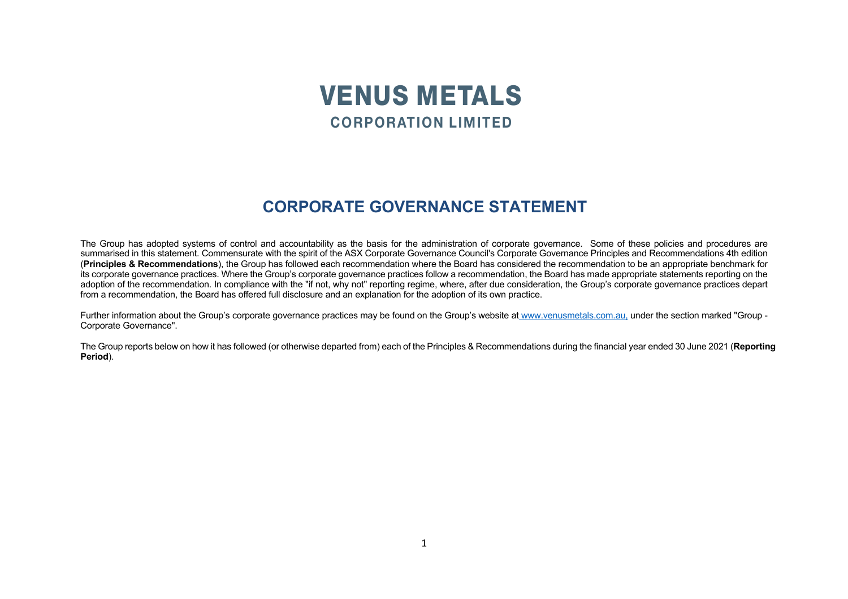

## **CORPORATE GOVERNANCE STATEMENT**

The Group has adopted systems of control and accountability as the basis for the administration of corporate governance. Some of these policies and procedures are summarised in this statement. Commensurate with the spirit of the ASX Corporate Governance Council's Corporate Governance Principles and Recommendations 4th edition (**Principles & Recommendations**), the Group has followed each recommendation where the Board has considered the recommendation to be an appropriate benchmark for its corporate governance practices. Where the Group's corporate governance practices follow a recommendation, the Board has made appropriate statements reporting on the adoption of the recommendation. In compliance with the "if not, why not" reporting regime, where, after due consideration, the Group's corporate governance practices depart from a recommendation, the Board has offered full disclosure and an explanation for the adoption of its own practice.

Further information about the Group's corporate governance practices may be found on the Group's website at www.venusmetals.com.au, under the section marked "Group - Corporate Governance".

The Group reports below on how it has followed (or otherwise departed from) each of the Principles & Recommendations during the financial year ended 30 June 2021 (**Reporting Period**).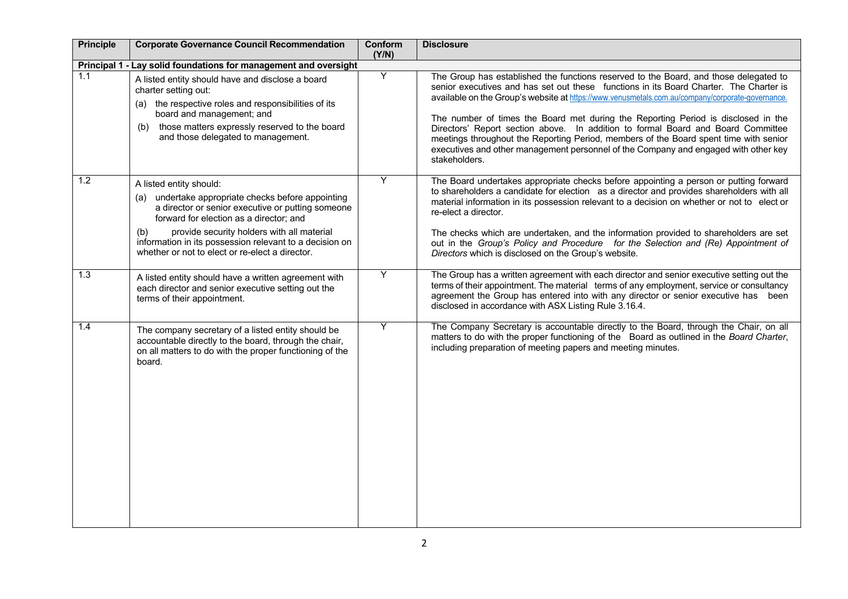| <b>Principle</b> | <b>Corporate Governance Council Recommendation</b>                                                                                                                                                                                                                                                                                                  | Conform<br>(Y/N) | <b>Disclosure</b>                                                                                                                                                                                                                                                                                                                                                                                                                                                                                                                                                                                                                                             |
|------------------|-----------------------------------------------------------------------------------------------------------------------------------------------------------------------------------------------------------------------------------------------------------------------------------------------------------------------------------------------------|------------------|---------------------------------------------------------------------------------------------------------------------------------------------------------------------------------------------------------------------------------------------------------------------------------------------------------------------------------------------------------------------------------------------------------------------------------------------------------------------------------------------------------------------------------------------------------------------------------------------------------------------------------------------------------------|
|                  | Principal 1 - Lay solid foundations for management and oversight                                                                                                                                                                                                                                                                                    |                  |                                                                                                                                                                                                                                                                                                                                                                                                                                                                                                                                                                                                                                                               |
| 1.1              | A listed entity should have and disclose a board<br>charter setting out:<br>the respective roles and responsibilities of its<br>(a)<br>board and management; and<br>those matters expressly reserved to the board<br>(b)<br>and those delegated to management.                                                                                      | Υ                | The Group has established the functions reserved to the Board, and those delegated to<br>senior executives and has set out these functions in its Board Charter. The Charter is<br>available on the Group's website at https://www.venusmetals.com.au/company/corporate-governance.<br>The number of times the Board met during the Reporting Period is disclosed in the<br>Directors' Report section above. In addition to formal Board and Board Committee<br>meetings throughout the Reporting Period, members of the Board spent time with senior<br>executives and other management personnel of the Company and engaged with other key<br>stakeholders. |
| 1.2              | A listed entity should:<br>undertake appropriate checks before appointing<br>(a)<br>a director or senior executive or putting someone<br>forward for election as a director; and<br>provide security holders with all material<br>(b)<br>information in its possession relevant to a decision on<br>whether or not to elect or re-elect a director. | Υ                | The Board undertakes appropriate checks before appointing a person or putting forward<br>to shareholders a candidate for election as a director and provides shareholders with all<br>material information in its possession relevant to a decision on whether or not to elect or<br>re-elect a director.<br>The checks which are undertaken, and the information provided to shareholders are set<br>out in the Group's Policy and Procedure for the Selection and (Re) Appointment of<br>Directors which is disclosed on the Group's website.                                                                                                               |
| 1.3              | A listed entity should have a written agreement with<br>each director and senior executive setting out the<br>terms of their appointment.                                                                                                                                                                                                           | Y                | The Group has a written agreement with each director and senior executive setting out the<br>terms of their appointment. The material terms of any employment, service or consultancy<br>agreement the Group has entered into with any director or senior executive has been<br>disclosed in accordance with ASX Listing Rule 3.16.4.                                                                                                                                                                                                                                                                                                                         |
| 1.4              | The company secretary of a listed entity should be<br>accountable directly to the board, through the chair,<br>on all matters to do with the proper functioning of the<br>board.                                                                                                                                                                    | Υ                | The Company Secretary is accountable directly to the Board, through the Chair, on all<br>matters to do with the proper functioning of the Board as outlined in the Board Charter,<br>including preparation of meeting papers and meeting minutes.                                                                                                                                                                                                                                                                                                                                                                                                             |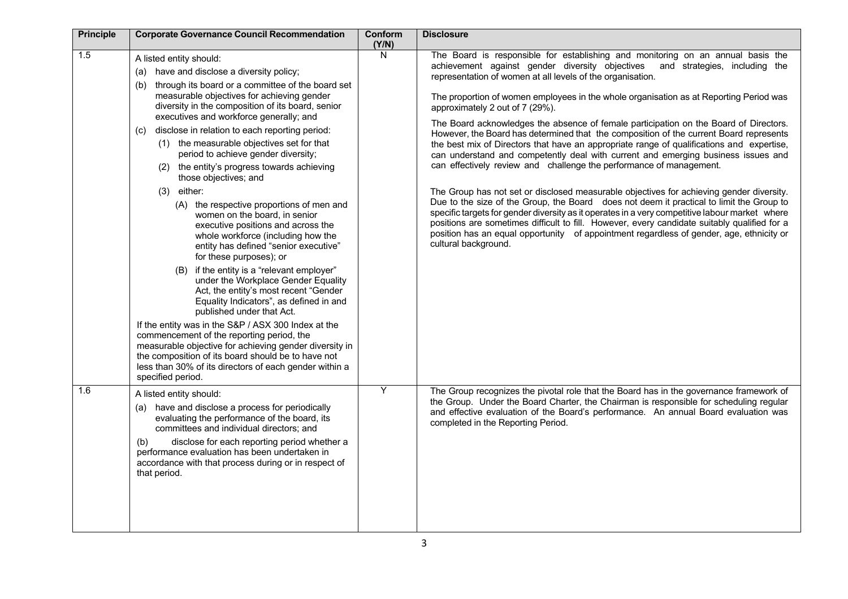| <b>Principle</b> | <b>Corporate Governance Council Recommendation</b>                                                                                                                                                                                                                                                                                                                                                                                                                                                                                                                                                                                                                                                                                                                                                                                                                                                                                                                                                                                                                                                                                                                                                                                                                 | Conform<br>(Y/N) | <b>Disclosure</b>                                                                                                                                                                                                                                                                                                                                                                                                                                                                                                                                                                                                                                                                                                                                                                                                                                                                                                                                                                                                                                                                                                                                                                                                                                                                                                        |
|------------------|--------------------------------------------------------------------------------------------------------------------------------------------------------------------------------------------------------------------------------------------------------------------------------------------------------------------------------------------------------------------------------------------------------------------------------------------------------------------------------------------------------------------------------------------------------------------------------------------------------------------------------------------------------------------------------------------------------------------------------------------------------------------------------------------------------------------------------------------------------------------------------------------------------------------------------------------------------------------------------------------------------------------------------------------------------------------------------------------------------------------------------------------------------------------------------------------------------------------------------------------------------------------|------------------|--------------------------------------------------------------------------------------------------------------------------------------------------------------------------------------------------------------------------------------------------------------------------------------------------------------------------------------------------------------------------------------------------------------------------------------------------------------------------------------------------------------------------------------------------------------------------------------------------------------------------------------------------------------------------------------------------------------------------------------------------------------------------------------------------------------------------------------------------------------------------------------------------------------------------------------------------------------------------------------------------------------------------------------------------------------------------------------------------------------------------------------------------------------------------------------------------------------------------------------------------------------------------------------------------------------------------|
| 1.5              | A listed entity should:<br>have and disclose a diversity policy;<br>(a)<br>through its board or a committee of the board set<br>(b)<br>measurable objectives for achieving gender<br>diversity in the composition of its board, senior<br>executives and workforce generally; and<br>disclose in relation to each reporting period:<br>(C)<br>(1) the measurable objectives set for that<br>period to achieve gender diversity;<br>(2) the entity's progress towards achieving<br>those objectives; and<br>$(3)$ either:<br>(A) the respective proportions of men and<br>women on the board, in senior<br>executive positions and across the<br>whole workforce (including how the<br>entity has defined "senior executive"<br>for these purposes); or<br>if the entity is a "relevant employer"<br>(B)<br>under the Workplace Gender Equality<br>Act, the entity's most recent "Gender<br>Equality Indicators", as defined in and<br>published under that Act.<br>If the entity was in the S&P / ASX 300 Index at the<br>commencement of the reporting period, the<br>measurable objective for achieving gender diversity in<br>the composition of its board should be to have not<br>less than 30% of its directors of each gender within a<br>specified period. | N                | The Board is responsible for establishing and monitoring on an annual basis the<br>achievement against gender diversity objectives<br>and strategies, including the<br>representation of women at all levels of the organisation.<br>The proportion of women employees in the whole organisation as at Reporting Period was<br>approximately 2 out of 7 (29%).<br>The Board acknowledges the absence of female participation on the Board of Directors.<br>However, the Board has determined that the composition of the current Board represents<br>the best mix of Directors that have an appropriate range of qualifications and expertise,<br>can understand and competently deal with current and emerging business issues and<br>can effectively review and challenge the performance of management.<br>The Group has not set or disclosed measurable objectives for achieving gender diversity.<br>Due to the size of the Group, the Board does not deem it practical to limit the Group to<br>specific targets for gender diversity as it operates in a very competitive labour market where<br>positions are sometimes difficult to fill. However, every candidate suitably qualified for a<br>position has an equal opportunity of appointment regardless of gender, age, ethnicity or<br>cultural background. |
| 1.6              | A listed entity should:<br>(a) have and disclose a process for periodically<br>evaluating the performance of the board, its<br>committees and individual directors; and<br>disclose for each reporting period whether a<br>(b)<br>performance evaluation has been undertaken in<br>accordance with that process during or in respect of<br>that period.                                                                                                                                                                                                                                                                                                                                                                                                                                                                                                                                                                                                                                                                                                                                                                                                                                                                                                            | Y                | The Group recognizes the pivotal role that the Board has in the governance framework of<br>the Group. Under the Board Charter, the Chairman is responsible for scheduling regular<br>and effective evaluation of the Board's performance. An annual Board evaluation was<br>completed in the Reporting Period.                                                                                                                                                                                                                                                                                                                                                                                                                                                                                                                                                                                                                                                                                                                                                                                                                                                                                                                                                                                                           |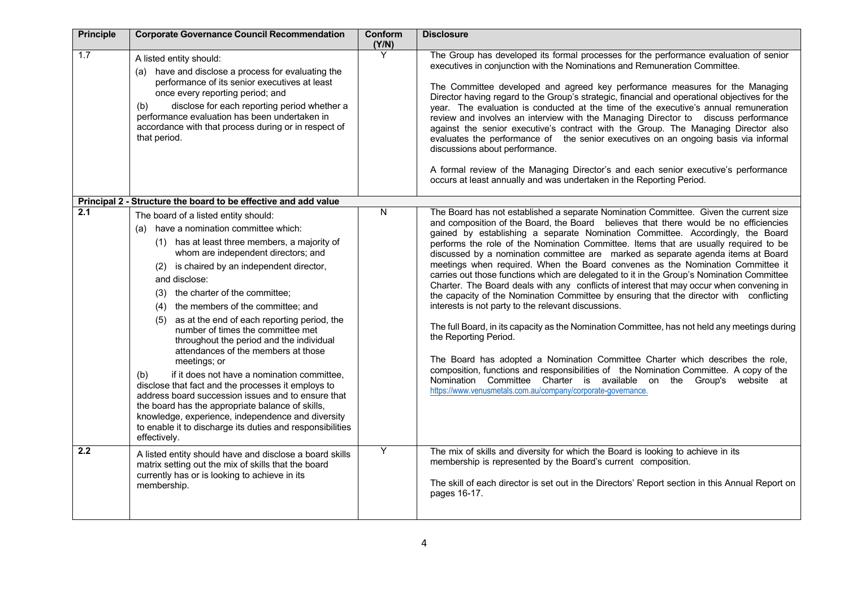| <b>Principle</b> | <b>Corporate Governance Council Recommendation</b>                                                                                                                                                                                                                                                                                                                                                                                                                                                                                                                                                                                                                                                                                                                                                                                                                             | Conform<br>(Y/N) | <b>Disclosure</b>                                                                                                                                                                                                                                                                                                                                                                                                                                                                                                                                                                                                                                                                                                                                                                                                                                                                                                                                                                                                                                                                                                                                                                                                                                                                                                     |
|------------------|--------------------------------------------------------------------------------------------------------------------------------------------------------------------------------------------------------------------------------------------------------------------------------------------------------------------------------------------------------------------------------------------------------------------------------------------------------------------------------------------------------------------------------------------------------------------------------------------------------------------------------------------------------------------------------------------------------------------------------------------------------------------------------------------------------------------------------------------------------------------------------|------------------|-----------------------------------------------------------------------------------------------------------------------------------------------------------------------------------------------------------------------------------------------------------------------------------------------------------------------------------------------------------------------------------------------------------------------------------------------------------------------------------------------------------------------------------------------------------------------------------------------------------------------------------------------------------------------------------------------------------------------------------------------------------------------------------------------------------------------------------------------------------------------------------------------------------------------------------------------------------------------------------------------------------------------------------------------------------------------------------------------------------------------------------------------------------------------------------------------------------------------------------------------------------------------------------------------------------------------|
| 1.7              | A listed entity should:<br>(a) have and disclose a process for evaluating the<br>performance of its senior executives at least<br>once every reporting period; and<br>disclose for each reporting period whether a<br>(b)<br>performance evaluation has been undertaken in<br>accordance with that process during or in respect of<br>that period.                                                                                                                                                                                                                                                                                                                                                                                                                                                                                                                             | Y                | The Group has developed its formal processes for the performance evaluation of senior<br>executives in conjunction with the Nominations and Remuneration Committee.<br>The Committee developed and agreed key performance measures for the Managing<br>Director having regard to the Group's strategic, financial and operational objectives for the<br>year. The evaluation is conducted at the time of the executive's annual remuneration<br>review and involves an interview with the Managing Director to discuss performance<br>against the senior executive's contract with the Group. The Managing Director also<br>evaluates the performance of the senior executives on an ongoing basis via informal<br>discussions about performance.<br>A formal review of the Managing Director's and each senior executive's performance<br>occurs at least annually and was undertaken in the Reporting Period.                                                                                                                                                                                                                                                                                                                                                                                                       |
|                  | Principal 2 - Structure the board to be effective and add value                                                                                                                                                                                                                                                                                                                                                                                                                                                                                                                                                                                                                                                                                                                                                                                                                |                  |                                                                                                                                                                                                                                                                                                                                                                                                                                                                                                                                                                                                                                                                                                                                                                                                                                                                                                                                                                                                                                                                                                                                                                                                                                                                                                                       |
| 2.1              | The board of a listed entity should:<br>have a nomination committee which:<br>(a)<br>(1) has at least three members, a majority of<br>whom are independent directors; and<br>is chaired by an independent director,<br>and disclose:<br>the charter of the committee;<br>(3)<br>the members of the committee; and<br>(4)<br>as at the end of each reporting period, the<br>(5)<br>number of times the committee met<br>throughout the period and the individual<br>attendances of the members at those<br>meetings; or<br>if it does not have a nomination committee,<br>(b)<br>disclose that fact and the processes it employs to<br>address board succession issues and to ensure that<br>the board has the appropriate balance of skills,<br>knowledge, experience, independence and diversity<br>to enable it to discharge its duties and responsibilities<br>effectively. | N                | The Board has not established a separate Nomination Committee. Given the current size<br>and composition of the Board, the Board believes that there would be no efficiencies<br>gained by establishing a separate Nomination Committee. Accordingly, the Board<br>performs the role of the Nomination Committee. Items that are usually required to be<br>discussed by a nomination committee are marked as separate agenda items at Board<br>meetings when required. When the Board convenes as the Nomination Committee it<br>carries out those functions which are delegated to it in the Group's Nomination Committee<br>Charter. The Board deals with any conflicts of interest that may occur when convening in<br>the capacity of the Nomination Committee by ensuring that the director with conflicting<br>interests is not party to the relevant discussions.<br>The full Board, in its capacity as the Nomination Committee, has not held any meetings during<br>the Reporting Period.<br>The Board has adopted a Nomination Committee Charter which describes the role,<br>composition, functions and responsibilities of the Nomination Committee. A copy of the<br>Nomination Committee Charter is available on the Group's website at<br>https://www.venusmetals.com.au/company/corporate-governance. |
| $\overline{2.2}$ | A listed entity should have and disclose a board skills<br>matrix setting out the mix of skills that the board<br>currently has or is looking to achieve in its<br>membership.                                                                                                                                                                                                                                                                                                                                                                                                                                                                                                                                                                                                                                                                                                 | Y                | The mix of skills and diversity for which the Board is looking to achieve in its<br>membership is represented by the Board's current composition.<br>The skill of each director is set out in the Directors' Report section in this Annual Report on<br>pages 16-17.                                                                                                                                                                                                                                                                                                                                                                                                                                                                                                                                                                                                                                                                                                                                                                                                                                                                                                                                                                                                                                                  |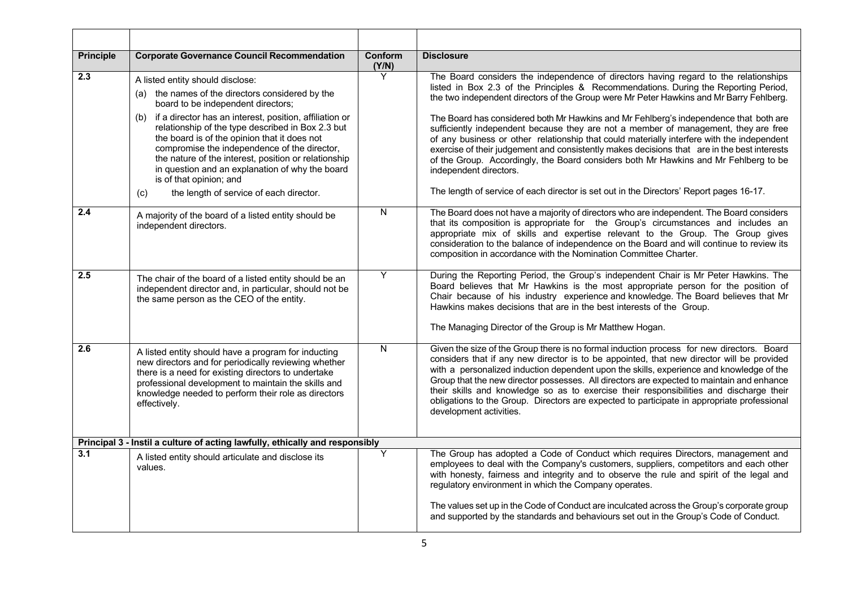| <b>Principle</b>                                                             | <b>Corporate Governance Council Recommendation</b>                                                                                                                                                                                                                                                                                                                                                                                                                                                                                        | <b>Conform</b><br>(Y/N) | <b>Disclosure</b>                                                                                                                                                                                                                                                                                                                                                                                                                                                                                                                                                                                                                                                                                                                                                                                                                                                |
|------------------------------------------------------------------------------|-------------------------------------------------------------------------------------------------------------------------------------------------------------------------------------------------------------------------------------------------------------------------------------------------------------------------------------------------------------------------------------------------------------------------------------------------------------------------------------------------------------------------------------------|-------------------------|------------------------------------------------------------------------------------------------------------------------------------------------------------------------------------------------------------------------------------------------------------------------------------------------------------------------------------------------------------------------------------------------------------------------------------------------------------------------------------------------------------------------------------------------------------------------------------------------------------------------------------------------------------------------------------------------------------------------------------------------------------------------------------------------------------------------------------------------------------------|
| $\overline{2.3}$                                                             | A listed entity should disclose:<br>(a) the names of the directors considered by the<br>board to be independent directors;<br>if a director has an interest, position, affiliation or<br>(b)<br>relationship of the type described in Box 2.3 but<br>the board is of the opinion that it does not<br>compromise the independence of the director,<br>the nature of the interest, position or relationship<br>in question and an explanation of why the board<br>is of that opinion; and<br>the length of service of each director.<br>(c) | Y                       | The Board considers the independence of directors having regard to the relationships<br>listed in Box 2.3 of the Principles & Recommendations. During the Reporting Period,<br>the two independent directors of the Group were Mr Peter Hawkins and Mr Barry Fehlberg.<br>The Board has considered both Mr Hawkins and Mr Fehlberg's independence that both are<br>sufficiently independent because they are not a member of management, they are free<br>of any business or other relationship that could materially interfere with the independent<br>exercise of their judgement and consistently makes decisions that are in the best interests<br>of the Group. Accordingly, the Board considers both Mr Hawkins and Mr Fehlberg to be<br>independent directors.<br>The length of service of each director is set out in the Directors' Report pages 16-17. |
| 2.4                                                                          | A majority of the board of a listed entity should be<br>independent directors.                                                                                                                                                                                                                                                                                                                                                                                                                                                            | N                       | The Board does not have a majority of directors who are independent. The Board considers<br>that its composition is appropriate for the Group's circumstances and includes an<br>appropriate mix of skills and expertise relevant to the Group. The Group gives<br>consideration to the balance of independence on the Board and will continue to review its<br>composition in accordance with the Nomination Committee Charter.                                                                                                                                                                                                                                                                                                                                                                                                                                 |
| 2.5                                                                          | The chair of the board of a listed entity should be an<br>independent director and, in particular, should not be<br>the same person as the CEO of the entity.                                                                                                                                                                                                                                                                                                                                                                             | Y                       | During the Reporting Period, the Group's independent Chair is Mr Peter Hawkins. The<br>Board believes that Mr Hawkins is the most appropriate person for the position of<br>Chair because of his industry experience and knowledge. The Board believes that Mr<br>Hawkins makes decisions that are in the best interests of the Group.<br>The Managing Director of the Group is Mr Matthew Hogan.                                                                                                                                                                                                                                                                                                                                                                                                                                                                |
| 2.6                                                                          | A listed entity should have a program for inducting<br>new directors and for periodically reviewing whether<br>there is a need for existing directors to undertake<br>professional development to maintain the skills and<br>knowledge needed to perform their role as directors<br>effectively.                                                                                                                                                                                                                                          | N                       | Given the size of the Group there is no formal induction process for new directors. Board<br>considers that if any new director is to be appointed, that new director will be provided<br>with a personalized induction dependent upon the skills, experience and knowledge of the<br>Group that the new director possesses. All directors are expected to maintain and enhance<br>their skills and knowledge so as to exercise their responsibilities and discharge their<br>obligations to the Group. Directors are expected to participate in appropriate professional<br>development activities.                                                                                                                                                                                                                                                             |
| Principal 3 - Instil a culture of acting lawfully, ethically and responsibly |                                                                                                                                                                                                                                                                                                                                                                                                                                                                                                                                           |                         |                                                                                                                                                                                                                                                                                                                                                                                                                                                                                                                                                                                                                                                                                                                                                                                                                                                                  |
| 3.1                                                                          | A listed entity should articulate and disclose its<br>values.                                                                                                                                                                                                                                                                                                                                                                                                                                                                             | Y                       | The Group has adopted a Code of Conduct which requires Directors, management and<br>employees to deal with the Company's customers, suppliers, competitors and each other<br>with honesty, fairness and integrity and to observe the rule and spirit of the legal and<br>regulatory environment in which the Company operates.<br>The values set up in the Code of Conduct are inculcated across the Group's corporate group<br>and supported by the standards and behaviours set out in the Group's Code of Conduct.                                                                                                                                                                                                                                                                                                                                            |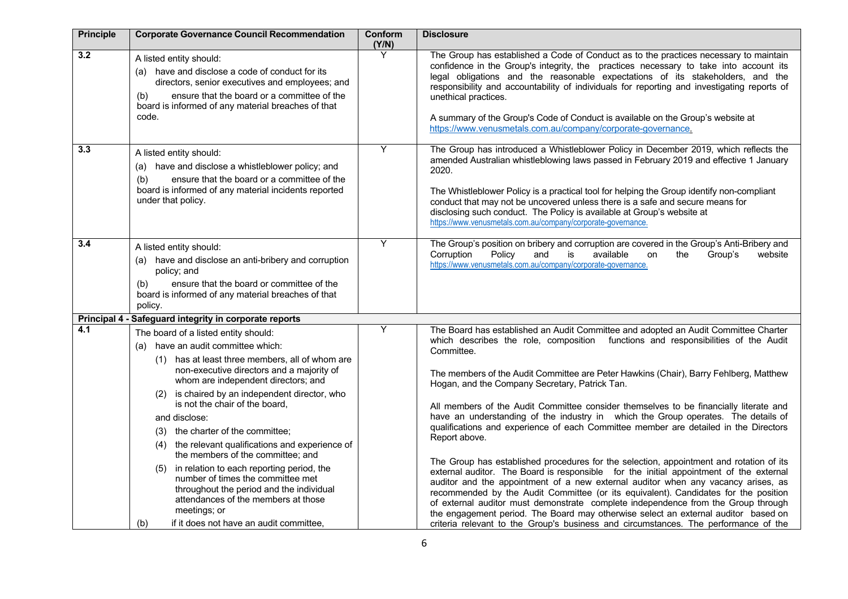| <b>Principle</b> | <b>Corporate Governance Council Recommendation</b>                                                                                                                                                                                                                                                                                                                                                                                                                                                                                                                                                                                                                                                           | Conform<br>(Y/N) | <b>Disclosure</b>                                                                                                                                                                                                                                                                                                                                                                                                                                                                                                                                                                                                                                                                                                                                                                                                                                                                                                                                                                                                                                                                                                                                                                                                                                           |
|------------------|--------------------------------------------------------------------------------------------------------------------------------------------------------------------------------------------------------------------------------------------------------------------------------------------------------------------------------------------------------------------------------------------------------------------------------------------------------------------------------------------------------------------------------------------------------------------------------------------------------------------------------------------------------------------------------------------------------------|------------------|-------------------------------------------------------------------------------------------------------------------------------------------------------------------------------------------------------------------------------------------------------------------------------------------------------------------------------------------------------------------------------------------------------------------------------------------------------------------------------------------------------------------------------------------------------------------------------------------------------------------------------------------------------------------------------------------------------------------------------------------------------------------------------------------------------------------------------------------------------------------------------------------------------------------------------------------------------------------------------------------------------------------------------------------------------------------------------------------------------------------------------------------------------------------------------------------------------------------------------------------------------------|
| 3.2              | A listed entity should:<br>(a) have and disclose a code of conduct for its<br>directors, senior executives and employees; and<br>ensure that the board or a committee of the<br>(b)<br>board is informed of any material breaches of that<br>code.                                                                                                                                                                                                                                                                                                                                                                                                                                                           | Y                | The Group has established a Code of Conduct as to the practices necessary to maintain<br>confidence in the Group's integrity, the practices necessary to take into account its<br>legal obligations and the reasonable expectations of its stakeholders, and the<br>responsibility and accountability of individuals for reporting and investigating reports of<br>unethical practices.<br>A summary of the Group's Code of Conduct is available on the Group's website at<br>https://www.venusmetals.com.au/company/corporate-governance.                                                                                                                                                                                                                                                                                                                                                                                                                                                                                                                                                                                                                                                                                                                  |
| 3.3              | A listed entity should:<br>(a) have and disclose a whistleblower policy; and<br>(b)<br>ensure that the board or a committee of the<br>board is informed of any material incidents reported<br>under that policy.                                                                                                                                                                                                                                                                                                                                                                                                                                                                                             | Υ                | The Group has introduced a Whistleblower Policy in December 2019, which reflects the<br>amended Australian whistleblowing laws passed in February 2019 and effective 1 January<br>2020.<br>The Whistleblower Policy is a practical tool for helping the Group identify non-compliant<br>conduct that may not be uncovered unless there is a safe and secure means for<br>disclosing such conduct. The Policy is available at Group's website at<br>https://www.venusmetals.com.au/company/corporate-governance.                                                                                                                                                                                                                                                                                                                                                                                                                                                                                                                                                                                                                                                                                                                                             |
| 3.4              | A listed entity should:<br>(a) have and disclose an anti-bribery and corruption<br>policy; and<br>ensure that the board or committee of the<br>(b)<br>board is informed of any material breaches of that<br>policy.                                                                                                                                                                                                                                                                                                                                                                                                                                                                                          | Υ                | The Group's position on bribery and corruption are covered in the Group's Anti-Bribery and<br>Policy<br>is<br>available<br>Corruption<br>and<br>Group's<br>website<br>on<br>the<br>https://www.venusmetals.com.au/company/corporate-governance.                                                                                                                                                                                                                                                                                                                                                                                                                                                                                                                                                                                                                                                                                                                                                                                                                                                                                                                                                                                                             |
|                  | Principal 4 - Safeguard integrity in corporate reports                                                                                                                                                                                                                                                                                                                                                                                                                                                                                                                                                                                                                                                       |                  |                                                                                                                                                                                                                                                                                                                                                                                                                                                                                                                                                                                                                                                                                                                                                                                                                                                                                                                                                                                                                                                                                                                                                                                                                                                             |
| 4.1              | The board of a listed entity should:<br>(a) have an audit committee which:<br>(1) has at least three members, all of whom are<br>non-executive directors and a majority of<br>whom are independent directors; and<br>is chaired by an independent director, who<br>(2)<br>is not the chair of the board,<br>and disclose:<br>the charter of the committee;<br>(3)<br>the relevant qualifications and experience of<br>(4)<br>the members of the committee: and<br>in relation to each reporting period, the<br>(5)<br>number of times the committee met<br>throughout the period and the individual<br>attendances of the members at those<br>meetings; or<br>if it does not have an audit committee,<br>(b) | Y                | The Board has established an Audit Committee and adopted an Audit Committee Charter<br>which describes the role, composition functions and responsibilities of the Audit<br>Committee.<br>The members of the Audit Committee are Peter Hawkins (Chair), Barry Fehlberg, Matthew<br>Hogan, and the Company Secretary, Patrick Tan.<br>All members of the Audit Committee consider themselves to be financially literate and<br>have an understanding of the industry in which the Group operates. The details of<br>qualifications and experience of each Committee member are detailed in the Directors<br>Report above.<br>The Group has established procedures for the selection, appointment and rotation of its<br>external auditor. The Board is responsible for the initial appointment of the external<br>auditor and the appointment of a new external auditor when any vacancy arises, as<br>recommended by the Audit Committee (or its equivalent). Candidates for the position<br>of external auditor must demonstrate complete independence from the Group through<br>the engagement period. The Board may otherwise select an external auditor based on<br>criteria relevant to the Group's business and circumstances. The performance of the |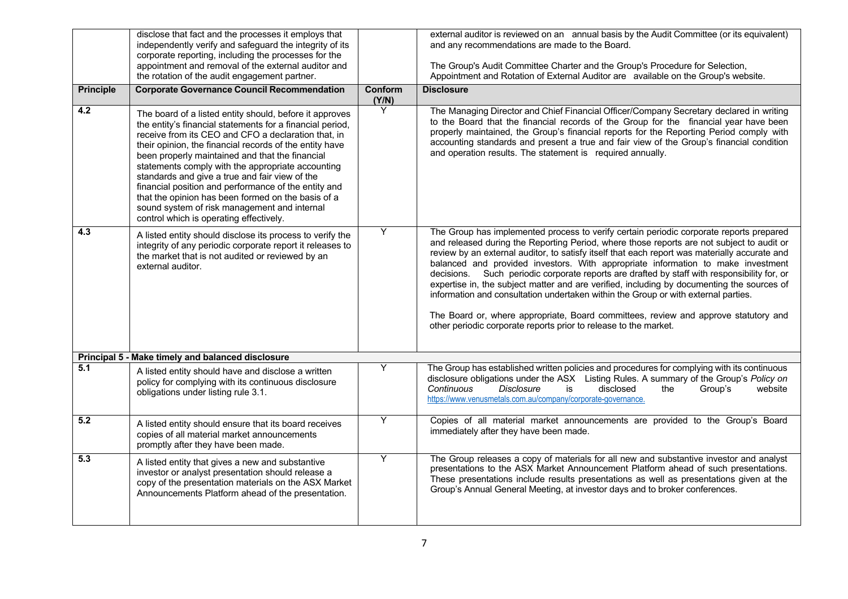|                  | disclose that fact and the processes it employs that<br>independently verify and safeguard the integrity of its<br>corporate reporting, including the processes for the<br>appointment and removal of the external auditor and<br>the rotation of the audit engagement partner.                                                                                                                                                                                                                                                                                                                           |                  | external auditor is reviewed on an annual basis by the Audit Committee (or its equivalent)<br>and any recommendations are made to the Board.<br>The Group's Audit Committee Charter and the Group's Procedure for Selection,<br>Appointment and Rotation of External Auditor are available on the Group's website.                                                                                                                                                                                                                                                                                                                                                                                                                                                                                                         |
|------------------|-----------------------------------------------------------------------------------------------------------------------------------------------------------------------------------------------------------------------------------------------------------------------------------------------------------------------------------------------------------------------------------------------------------------------------------------------------------------------------------------------------------------------------------------------------------------------------------------------------------|------------------|----------------------------------------------------------------------------------------------------------------------------------------------------------------------------------------------------------------------------------------------------------------------------------------------------------------------------------------------------------------------------------------------------------------------------------------------------------------------------------------------------------------------------------------------------------------------------------------------------------------------------------------------------------------------------------------------------------------------------------------------------------------------------------------------------------------------------|
| <b>Principle</b> | <b>Corporate Governance Council Recommendation</b>                                                                                                                                                                                                                                                                                                                                                                                                                                                                                                                                                        | Conform<br>(Y/N) | <b>Disclosure</b>                                                                                                                                                                                                                                                                                                                                                                                                                                                                                                                                                                                                                                                                                                                                                                                                          |
| 4.2              | The board of a listed entity should, before it approves<br>the entity's financial statements for a financial period,<br>receive from its CEO and CFO a declaration that, in<br>their opinion, the financial records of the entity have<br>been properly maintained and that the financial<br>statements comply with the appropriate accounting<br>standards and give a true and fair view of the<br>financial position and performance of the entity and<br>that the opinion has been formed on the basis of a<br>sound system of risk management and internal<br>control which is operating effectively. | Y                | The Managing Director and Chief Financial Officer/Company Secretary declared in writing<br>to the Board that the financial records of the Group for the financial year have been<br>properly maintained, the Group's financial reports for the Reporting Period comply with<br>accounting standards and present a true and fair view of the Group's financial condition<br>and operation results. The statement is required annually.                                                                                                                                                                                                                                                                                                                                                                                      |
| 4.3              | A listed entity should disclose its process to verify the<br>integrity of any periodic corporate report it releases to<br>the market that is not audited or reviewed by an<br>external auditor.                                                                                                                                                                                                                                                                                                                                                                                                           | Υ                | The Group has implemented process to verify certain periodic corporate reports prepared<br>and released during the Reporting Period, where those reports are not subject to audit or<br>review by an external auditor, to satisfy itself that each report was materially accurate and<br>balanced and provided investors. With appropriate information to make investment<br>Such periodic corporate reports are drafted by staff with responsibility for, or<br>decisions.<br>expertise in, the subject matter and are verified, including by documenting the sources of<br>information and consultation undertaken within the Group or with external parties.<br>The Board or, where appropriate, Board committees, review and approve statutory and<br>other periodic corporate reports prior to release to the market. |
|                  | Principal 5 - Make timely and balanced disclosure                                                                                                                                                                                                                                                                                                                                                                                                                                                                                                                                                         |                  |                                                                                                                                                                                                                                                                                                                                                                                                                                                                                                                                                                                                                                                                                                                                                                                                                            |
| $\overline{5.1}$ | A listed entity should have and disclose a written<br>policy for complying with its continuous disclosure<br>obligations under listing rule 3.1.                                                                                                                                                                                                                                                                                                                                                                                                                                                          | Y                | The Group has established written policies and procedures for complying with its continuous<br>disclosure obligations under the ASX Listing Rules. A summary of the Group's Policy on<br>Continuous<br><b>Disclosure</b><br>disclosed<br>is<br>Group's<br>website<br>the<br>https://www.venusmetals.com.au/company/corporate-governance.                                                                                                                                                                                                                                                                                                                                                                                                                                                                                   |
| 5.2              | A listed entity should ensure that its board receives<br>copies of all material market announcements<br>promptly after they have been made.                                                                                                                                                                                                                                                                                                                                                                                                                                                               | Y                | Copies of all material market announcements are provided to the Group's Board<br>immediately after they have been made.                                                                                                                                                                                                                                                                                                                                                                                                                                                                                                                                                                                                                                                                                                    |
| 5.3              | A listed entity that gives a new and substantive<br>investor or analyst presentation should release a<br>copy of the presentation materials on the ASX Market<br>Announcements Platform ahead of the presentation.                                                                                                                                                                                                                                                                                                                                                                                        | Υ                | The Group releases a copy of materials for all new and substantive investor and analyst<br>presentations to the ASX Market Announcement Platform ahead of such presentations.<br>These presentations include results presentations as well as presentations given at the<br>Group's Annual General Meeting, at investor days and to broker conferences.                                                                                                                                                                                                                                                                                                                                                                                                                                                                    |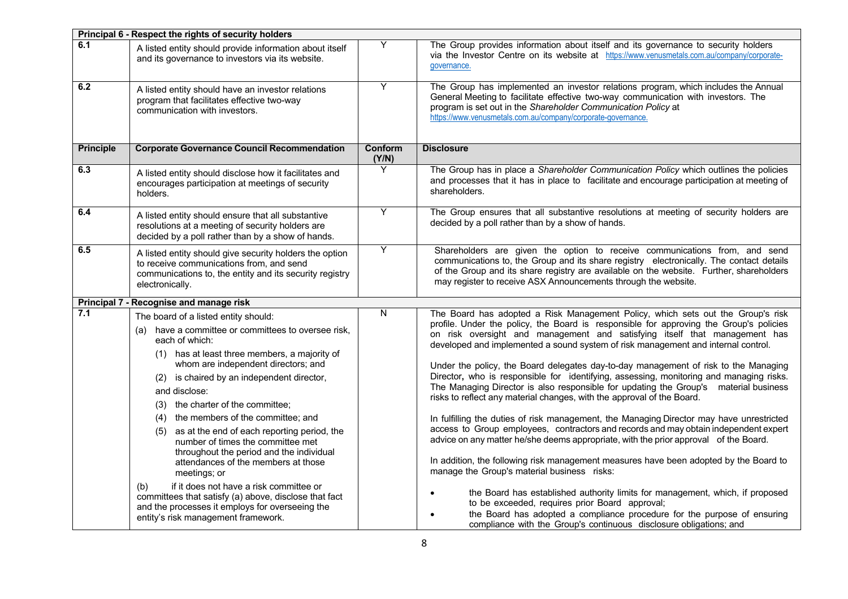|                  | Principal 6 - Respect the rights of security holders                                                                                                                                                                                                                                                                                                                                                                                                                                                                                          |                  |                                                                                                                                                                                                                                                                                                                                                                                                                                                                                                                                                                                                                                                                                                                                                                                                                                                                                                                                                                                                                                                                                                                      |  |  |
|------------------|-----------------------------------------------------------------------------------------------------------------------------------------------------------------------------------------------------------------------------------------------------------------------------------------------------------------------------------------------------------------------------------------------------------------------------------------------------------------------------------------------------------------------------------------------|------------------|----------------------------------------------------------------------------------------------------------------------------------------------------------------------------------------------------------------------------------------------------------------------------------------------------------------------------------------------------------------------------------------------------------------------------------------------------------------------------------------------------------------------------------------------------------------------------------------------------------------------------------------------------------------------------------------------------------------------------------------------------------------------------------------------------------------------------------------------------------------------------------------------------------------------------------------------------------------------------------------------------------------------------------------------------------------------------------------------------------------------|--|--|
| 6.1              | A listed entity should provide information about itself<br>and its governance to investors via its website.                                                                                                                                                                                                                                                                                                                                                                                                                                   | Υ                | The Group provides information about itself and its governance to security holders<br>via the Investor Centre on its website at https://www.venusmetals.com.au/company/corporate-<br>governance.                                                                                                                                                                                                                                                                                                                                                                                                                                                                                                                                                                                                                                                                                                                                                                                                                                                                                                                     |  |  |
| 6.2              | A listed entity should have an investor relations<br>program that facilitates effective two-way<br>communication with investors.                                                                                                                                                                                                                                                                                                                                                                                                              | Υ                | The Group has implemented an investor relations program, which includes the Annual<br>General Meeting to facilitate effective two-way communication with investors. The<br>program is set out in the Shareholder Communication Policy at<br>https://www.venusmetals.com.au/company/corporate-governance.                                                                                                                                                                                                                                                                                                                                                                                                                                                                                                                                                                                                                                                                                                                                                                                                             |  |  |
| <b>Principle</b> | <b>Corporate Governance Council Recommendation</b>                                                                                                                                                                                                                                                                                                                                                                                                                                                                                            | Conform<br>(Y/N) | <b>Disclosure</b>                                                                                                                                                                                                                                                                                                                                                                                                                                                                                                                                                                                                                                                                                                                                                                                                                                                                                                                                                                                                                                                                                                    |  |  |
| 6.3              | A listed entity should disclose how it facilitates and<br>encourages participation at meetings of security<br>holders.                                                                                                                                                                                                                                                                                                                                                                                                                        | Y                | The Group has in place a Shareholder Communication Policy which outlines the policies<br>and processes that it has in place to facilitate and encourage participation at meeting of<br>shareholders.                                                                                                                                                                                                                                                                                                                                                                                                                                                                                                                                                                                                                                                                                                                                                                                                                                                                                                                 |  |  |
| 6.4              | A listed entity should ensure that all substantive<br>resolutions at a meeting of security holders are<br>decided by a poll rather than by a show of hands.                                                                                                                                                                                                                                                                                                                                                                                   | Y                | The Group ensures that all substantive resolutions at meeting of security holders are<br>decided by a poll rather than by a show of hands.                                                                                                                                                                                                                                                                                                                                                                                                                                                                                                                                                                                                                                                                                                                                                                                                                                                                                                                                                                           |  |  |
| 6.5              | A listed entity should give security holders the option<br>to receive communications from, and send<br>communications to, the entity and its security registry<br>electronically.                                                                                                                                                                                                                                                                                                                                                             | Υ                | Shareholders are given the option to receive communications from, and send<br>communications to, the Group and its share registry electronically. The contact details<br>of the Group and its share registry are available on the website. Further, shareholders<br>may register to receive ASX Announcements through the website.                                                                                                                                                                                                                                                                                                                                                                                                                                                                                                                                                                                                                                                                                                                                                                                   |  |  |
|                  | Principal 7 - Recognise and manage risk                                                                                                                                                                                                                                                                                                                                                                                                                                                                                                       |                  |                                                                                                                                                                                                                                                                                                                                                                                                                                                                                                                                                                                                                                                                                                                                                                                                                                                                                                                                                                                                                                                                                                                      |  |  |
| 7.1              | The board of a listed entity should:<br>(a) have a committee or committees to oversee risk,<br>each of which:<br>(1) has at least three members, a majority of<br>whom are independent directors; and<br>(2) is chaired by an independent director,<br>and disclose:<br>(3) the charter of the committee;<br>(4) the members of the committee; and<br>(5) as at the end of each reporting period, the<br>number of times the committee met<br>throughout the period and the individual<br>attendances of the members at those<br>meetings; or | N                | The Board has adopted a Risk Management Policy, which sets out the Group's risk<br>profile. Under the policy, the Board is responsible for approving the Group's policies<br>on risk oversight and management and satisfying itself that management has<br>developed and implemented a sound system of risk management and internal control.<br>Under the policy, the Board delegates day-to-day management of risk to the Managing<br>Director, who is responsible for identifying, assessing, monitoring and managing risks.<br>The Managing Director is also responsible for updating the Group's material business<br>risks to reflect any material changes, with the approval of the Board.<br>In fulfilling the duties of risk management, the Managing Director may have unrestricted<br>access to Group employees, contractors and records and may obtain independent expert<br>advice on any matter he/she deems appropriate, with the prior approval of the Board.<br>In addition, the following risk management measures have been adopted by the Board to<br>manage the Group's material business risks: |  |  |
|                  | if it does not have a risk committee or<br>(b)<br>committees that satisfy (a) above, disclose that fact<br>and the processes it employs for overseeing the<br>entity's risk management framework.                                                                                                                                                                                                                                                                                                                                             |                  | the Board has established authority limits for management, which, if proposed<br>to be exceeded, requires prior Board approval;<br>the Board has adopted a compliance procedure for the purpose of ensuring<br>compliance with the Group's continuous disclosure obligations; and                                                                                                                                                                                                                                                                                                                                                                                                                                                                                                                                                                                                                                                                                                                                                                                                                                    |  |  |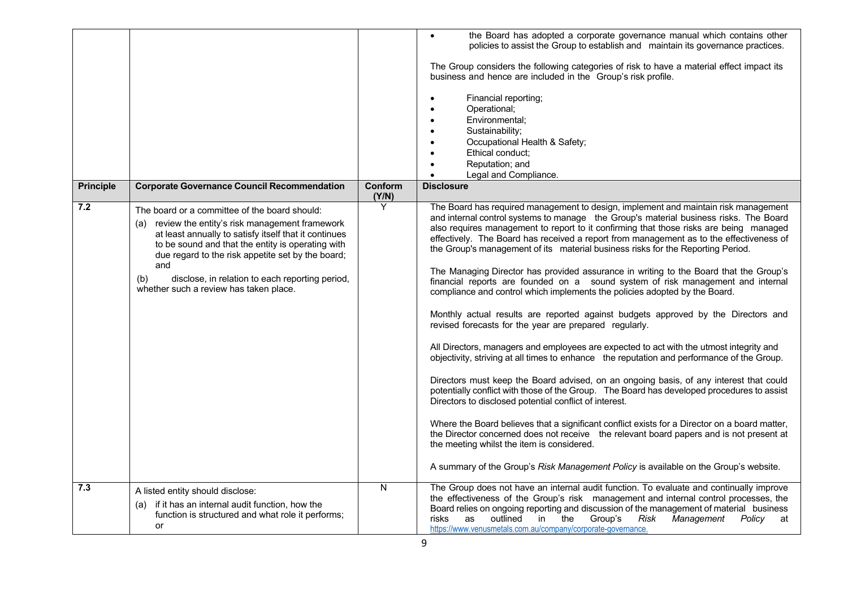|                  |                                                                                                                                                                                                                                                                                                                                                                                  |                  | the Board has adopted a corporate governance manual which contains other<br>$\bullet$<br>policies to assist the Group to establish and maintain its governance practices.<br>The Group considers the following categories of risk to have a material effect impact its<br>business and hence are included in the Group's risk profile.<br>Financial reporting;<br>Operational;<br>Environmental;<br>$\bullet$<br>Sustainability:<br>$\bullet$<br>Occupational Health & Safety;<br>Ethical conduct:<br>Reputation; and<br>Legal and Compliance.<br>$\bullet$                                                                                                                                                                                                                                                                                                                                                                                                                                                                                                                                                                                                                                                                                                                                                                                                                                                                                                                                                                                                                                                                                |
|------------------|----------------------------------------------------------------------------------------------------------------------------------------------------------------------------------------------------------------------------------------------------------------------------------------------------------------------------------------------------------------------------------|------------------|--------------------------------------------------------------------------------------------------------------------------------------------------------------------------------------------------------------------------------------------------------------------------------------------------------------------------------------------------------------------------------------------------------------------------------------------------------------------------------------------------------------------------------------------------------------------------------------------------------------------------------------------------------------------------------------------------------------------------------------------------------------------------------------------------------------------------------------------------------------------------------------------------------------------------------------------------------------------------------------------------------------------------------------------------------------------------------------------------------------------------------------------------------------------------------------------------------------------------------------------------------------------------------------------------------------------------------------------------------------------------------------------------------------------------------------------------------------------------------------------------------------------------------------------------------------------------------------------------------------------------------------------|
| <b>Principle</b> | <b>Corporate Governance Council Recommendation</b>                                                                                                                                                                                                                                                                                                                               | Conform<br>(Y/N) | <b>Disclosure</b>                                                                                                                                                                                                                                                                                                                                                                                                                                                                                                                                                                                                                                                                                                                                                                                                                                                                                                                                                                                                                                                                                                                                                                                                                                                                                                                                                                                                                                                                                                                                                                                                                          |
| 7.2              | The board or a committee of the board should:<br>(a) review the entity's risk management framework<br>at least annually to satisfy itself that it continues<br>to be sound and that the entity is operating with<br>due regard to the risk appetite set by the board;<br>and<br>disclose, in relation to each reporting period,<br>(b)<br>whether such a review has taken place. | Y                | The Board has required management to design, implement and maintain risk management<br>and internal control systems to manage the Group's material business risks. The Board<br>also requires management to report to it confirming that those risks are being managed<br>effectively. The Board has received a report from management as to the effectiveness of<br>the Group's management of its material business risks for the Reporting Period.<br>The Managing Director has provided assurance in writing to the Board that the Group's<br>financial reports are founded on a sound system of risk management and internal<br>compliance and control which implements the policies adopted by the Board.<br>Monthly actual results are reported against budgets approved by the Directors and<br>revised forecasts for the year are prepared regularly.<br>All Directors, managers and employees are expected to act with the utmost integrity and<br>objectivity, striving at all times to enhance the reputation and performance of the Group.<br>Directors must keep the Board advised, on an ongoing basis, of any interest that could<br>potentially conflict with those of the Group. The Board has developed procedures to assist<br>Directors to disclosed potential conflict of interest.<br>Where the Board believes that a significant conflict exists for a Director on a board matter,<br>the Director concerned does not receive the relevant board papers and is not present at<br>the meeting whilst the item is considered.<br>A summary of the Group's Risk Management Policy is available on the Group's website. |
| 7.3              | A listed entity should disclose:<br>(a) if it has an internal audit function, how the<br>function is structured and what role it performs;<br>or                                                                                                                                                                                                                                 | N                | The Group does not have an internal audit function. To evaluate and continually improve<br>the effectiveness of the Group's risk management and internal control processes, the<br>Board relies on ongoing reporting and discussion of the management of material business<br>outlined<br>in<br>the<br>Group's<br>risks<br>as<br>Risk<br>Management<br><i>Policy</i> at<br>https://www.venusmetals.com.au/company/corporate-governance.                                                                                                                                                                                                                                                                                                                                                                                                                                                                                                                                                                                                                                                                                                                                                                                                                                                                                                                                                                                                                                                                                                                                                                                                    |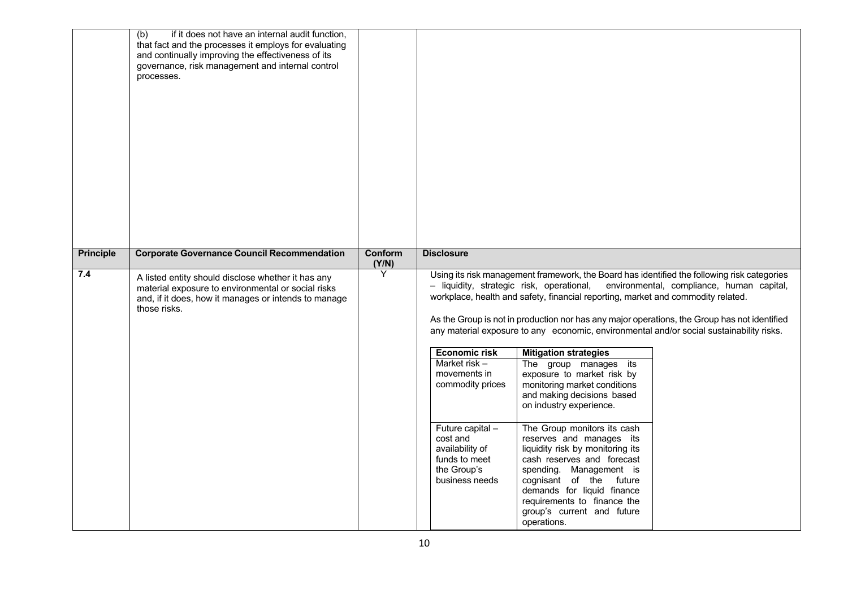|                  | (b)<br>if it does not have an internal audit function,<br>that fact and the processes it employs for evaluating<br>and continually improving the effectiveness of its<br>governance, risk management and internal control<br>processes. |                  |                                                                                                                                                                                                                                                                                                                                  |                                                                                                                                                                                                                                                                                                                                                                                                                                                            |                                                                                                                                                                                                                                                                                                                                      |
|------------------|-----------------------------------------------------------------------------------------------------------------------------------------------------------------------------------------------------------------------------------------|------------------|----------------------------------------------------------------------------------------------------------------------------------------------------------------------------------------------------------------------------------------------------------------------------------------------------------------------------------|------------------------------------------------------------------------------------------------------------------------------------------------------------------------------------------------------------------------------------------------------------------------------------------------------------------------------------------------------------------------------------------------------------------------------------------------------------|--------------------------------------------------------------------------------------------------------------------------------------------------------------------------------------------------------------------------------------------------------------------------------------------------------------------------------------|
| <b>Principle</b> | <b>Corporate Governance Council Recommendation</b>                                                                                                                                                                                      | Conform<br>(Y/N) | <b>Disclosure</b>                                                                                                                                                                                                                                                                                                                |                                                                                                                                                                                                                                                                                                                                                                                                                                                            |                                                                                                                                                                                                                                                                                                                                      |
| 7.4              | A listed entity should disclose whether it has any<br>material exposure to environmental or social risks<br>and, if it does, how it manages or intends to manage<br>those risks.                                                        | Υ                | - liquidity, strategic risk, operational,<br>workplace, health and safety, financial reporting, market and commodity related.<br><b>Economic risk</b><br>Market risk $-$<br>movements in<br>commodity prices<br>Future capital -<br>cost and<br>availability of<br>funds to meet<br>the Group's<br>business needs<br>operations. | <b>Mitigation strategies</b><br>The group manages its<br>exposure to market risk by<br>monitoring market conditions<br>and making decisions based<br>on industry experience.<br>The Group monitors its cash<br>reserves and manages its<br>liquidity risk by monitoring its<br>cash reserves and forecast<br>spending. Management is<br>cognisant of the future<br>demands for liquid finance<br>requirements to finance the<br>group's current and future | Using its risk management framework, the Board has identified the following risk categories<br>environmental, compliance, human capital,<br>As the Group is not in production nor has any major operations, the Group has not identified<br>any material exposure to any economic, environmental and/or social sustainability risks. |